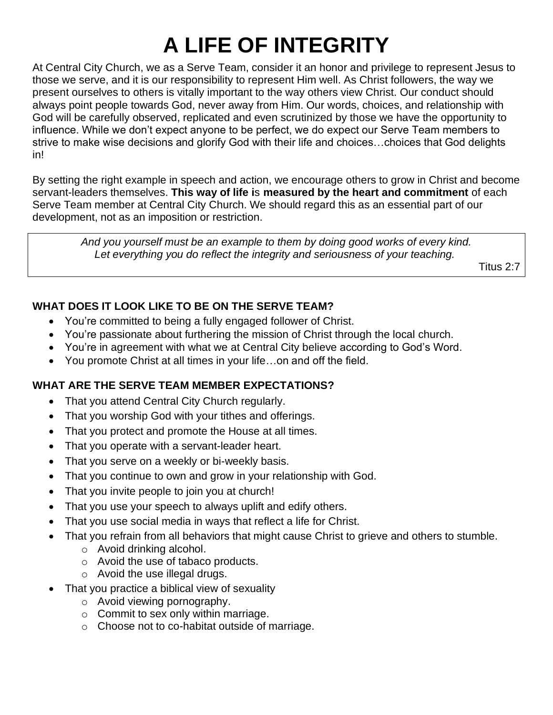# **A LIFE OF INTEGRITY**

At Central City Church, we as a Serve Team, consider it an honor and privilege to represent Jesus to those we serve, and it is our responsibility to represent Him well. As Christ followers, the way we present ourselves to others is vitally important to the way others view Christ. Our conduct should always point people towards God, never away from Him. Our words, choices, and relationship with God will be carefully observed, replicated and even scrutinized by those we have the opportunity to influence. While we don't expect anyone to be perfect, we do expect our Serve Team members to strive to make wise decisions and glorify God with their life and choices…choices that God delights in!

By setting the right example in speech and action, we encourage others to grow in Christ and become servant-leaders themselves. **This way of life i**s **measured by the heart and commitment** of each Serve Team member at Central City Church. We should regard this as an essential part of our development, not as an imposition or restriction.

> *And you yourself must be an example to them by doing good works of every kind. Let everything you do reflect the integrity and seriousness of your teaching.*

> > Titus 2:7

## **WHAT DOES IT LOOK LIKE TO BE ON THE SERVE TEAM?**

- You're committed to being a fully engaged follower of Christ.
- You're passionate about furthering the mission of Christ through the local church.
- You're in agreement with what we at Central City believe according to God's Word.
- You promote Christ at all times in your life…on and off the field.

## **WHAT ARE THE SERVE TEAM MEMBER EXPECTATIONS?**

- That you attend Central City Church regularly.
- That you worship God with your tithes and offerings.
- That you protect and promote the House at all times.
- That you operate with a servant-leader heart.
- That you serve on a weekly or bi-weekly basis.
- That you continue to own and grow in your relationship with God.
- That you invite people to join you at church!
- That you use your speech to always uplift and edify others.
- That you use social media in ways that reflect a life for Christ.
- That you refrain from all behaviors that might cause Christ to grieve and others to stumble.
	- o Avoid drinking alcohol.
	- o Avoid the use of tabaco products.
	- o Avoid the use illegal drugs.
- That you practice a biblical view of sexuality
	- o Avoid viewing pornography.
	- o Commit to sex only within marriage.
	- o Choose not to co-habitat outside of marriage.